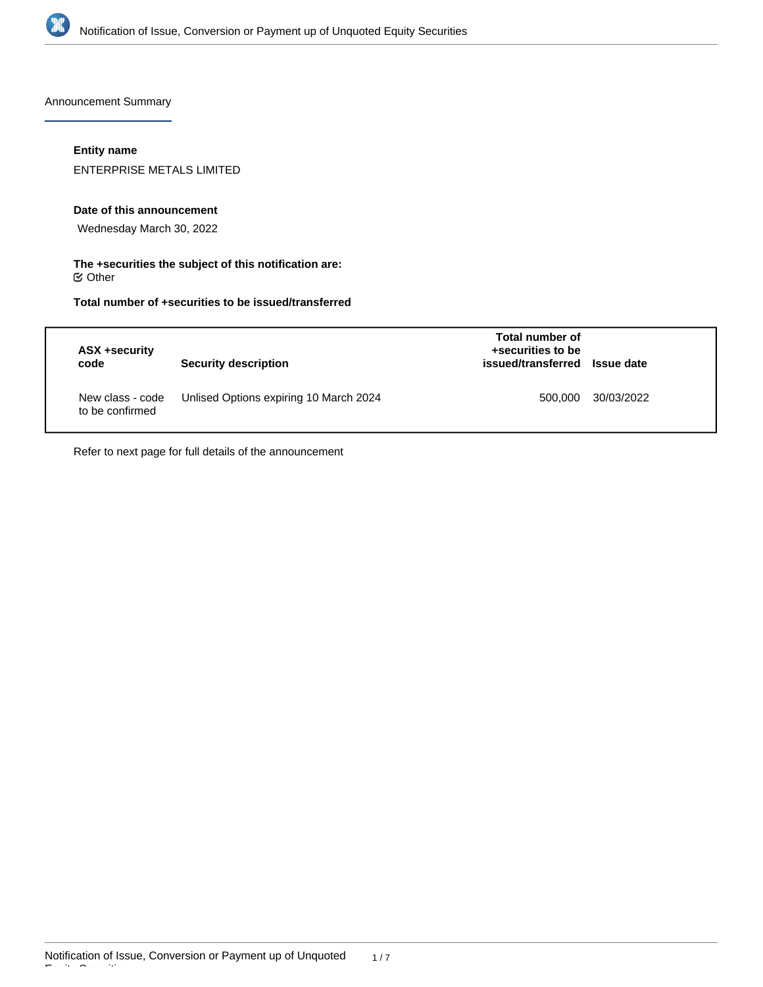

Announcement Summary

## **Entity name**

ENTERPRISE METALS LIMITED

#### **Date of this announcement**

Wednesday March 30, 2022

#### **The +securities the subject of this notification are:**  $\mathfrak S$  Other

# **Total number of +securities to be issued/transferred**

| ASX +security<br>code               | <b>Security description</b>            | Total number of<br>+securities to be<br>issued/transferred Issue date |            |
|-------------------------------------|----------------------------------------|-----------------------------------------------------------------------|------------|
| New class - code<br>to be confirmed | Unlised Options expiring 10 March 2024 | 500.000                                                               | 30/03/2022 |

Refer to next page for full details of the announcement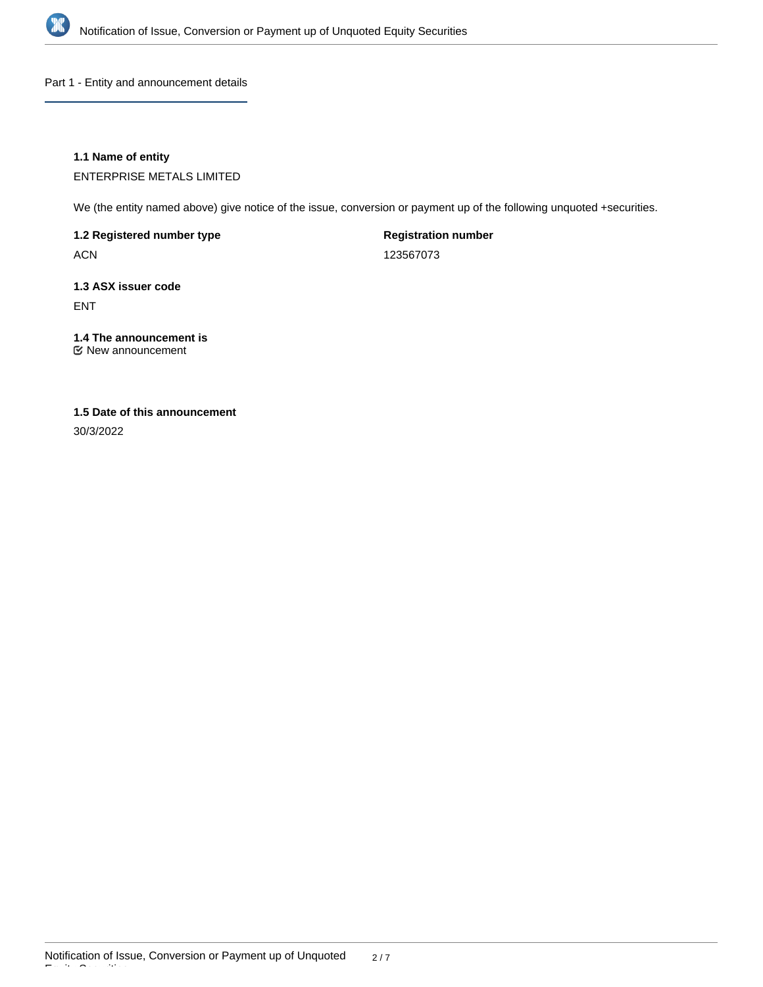

Part 1 - Entity and announcement details

## **1.1 Name of entity**

ENTERPRISE METALS LIMITED

We (the entity named above) give notice of the issue, conversion or payment up of the following unquoted +securities.

**1.2 Registered number type**

ACN

**Registration number**

123567073

# **1.3 ASX issuer code** ENT

# **1.4 The announcement is**

New announcement

# **1.5 Date of this announcement**

30/3/2022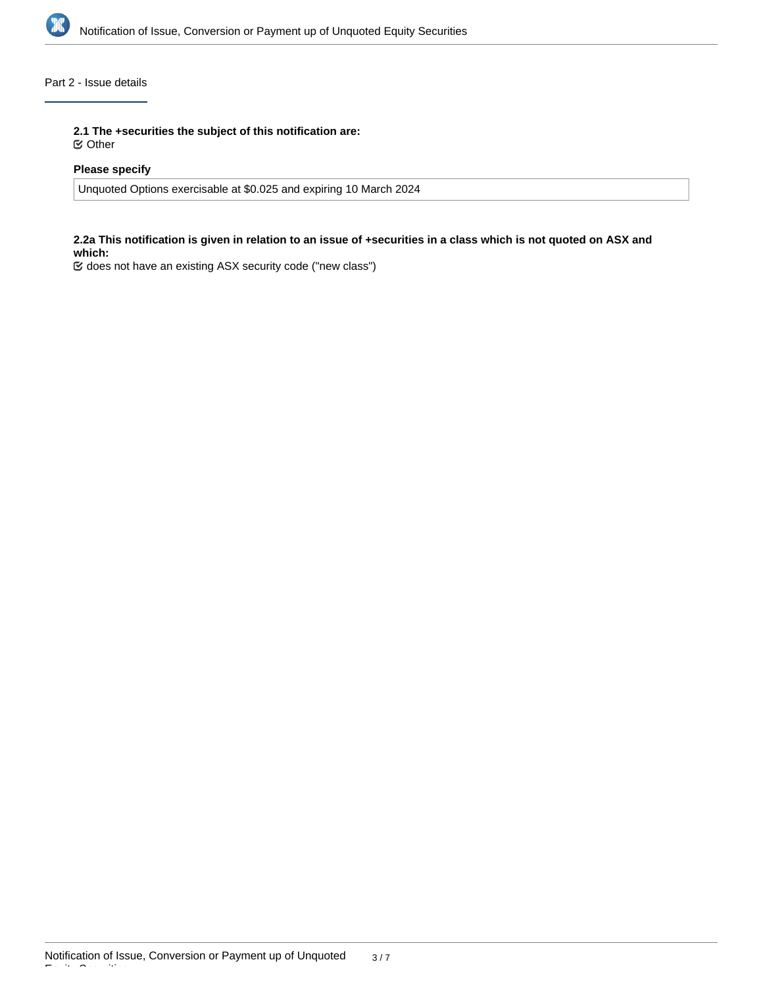

## Part 2 - Issue details

**2.1 The +securities the subject of this notification are:**

Other

## **Please specify**

Unquoted Options exercisable at \$0.025 and expiring 10 March 2024

#### **2.2a This notification is given in relation to an issue of +securities in a class which is not quoted on ASX and which:**

does not have an existing ASX security code ("new class")

Equity Securities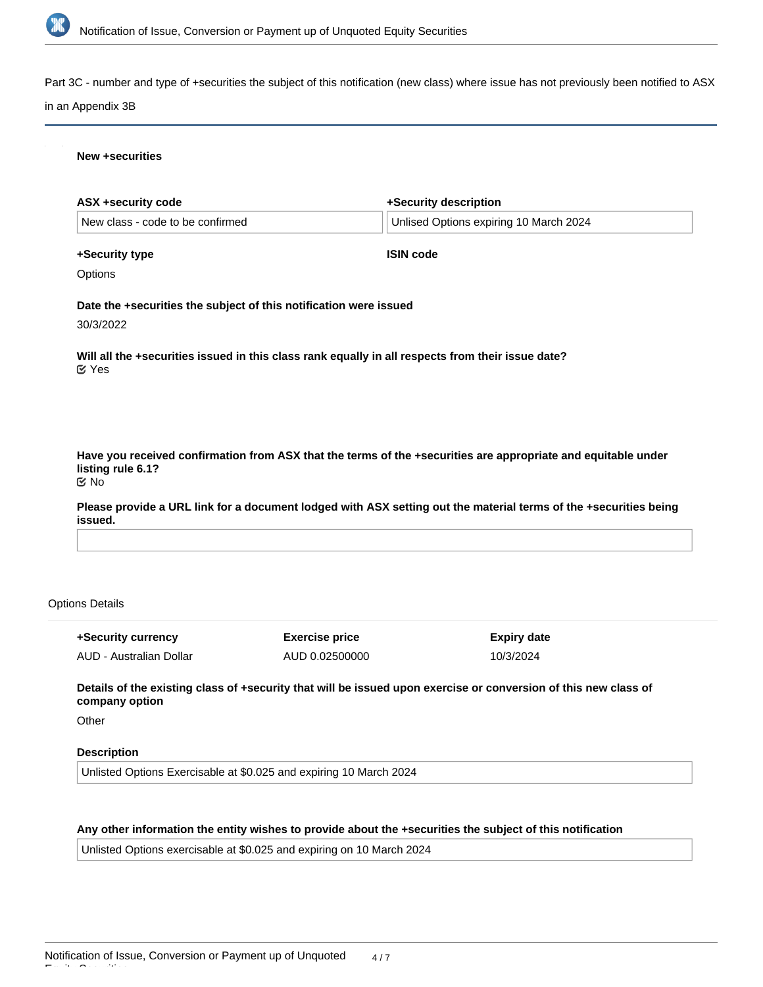

Part 3C - number and type of +securities the subject of this notification (new class) where issue has not previously been notified to ASX

#### in an Appendix 3B

#### **New +securities**

| <b>ASX +security code</b>              |                                                                   | +Security description                                                                                            |
|----------------------------------------|-------------------------------------------------------------------|------------------------------------------------------------------------------------------------------------------|
| New class - code to be confirmed       |                                                                   | Unlised Options expiring 10 March 2024                                                                           |
| +Security type                         |                                                                   | <b>ISIN code</b>                                                                                                 |
| Options                                |                                                                   |                                                                                                                  |
|                                        | Date the +securities the subject of this notification were issued |                                                                                                                  |
| 30/3/2022                              |                                                                   |                                                                                                                  |
| $\mathfrak{C}$ Yes                     |                                                                   | Will all the +securities issued in this class rank equally in all respects from their issue date?                |
| listing rule 6.1?<br>$\mathfrak{C}$ No |                                                                   | Have you received confirmation from ASX that the terms of the +securities are appropriate and equitable under    |
| issued.                                |                                                                   | Please provide a URL link for a document lodged with ASX setting out the material terms of the +securities being |
|                                        |                                                                   |                                                                                                                  |
|                                        |                                                                   |                                                                                                                  |
| <b>Options Details</b>                 |                                                                   |                                                                                                                  |

AUD - Australian Dollar

AUD 0.02500000

**Expiry date** 10/3/2024

**Details of the existing class of +security that will be issued upon exercise or conversion of this new class of company option**

**Other** 

#### **Description**

Unlisted Options Exercisable at \$0.025 and expiring 10 March 2024

## **Any other information the entity wishes to provide about the +securities the subject of this notification**

Unlisted Options exercisable at \$0.025 and expiring on 10 March 2024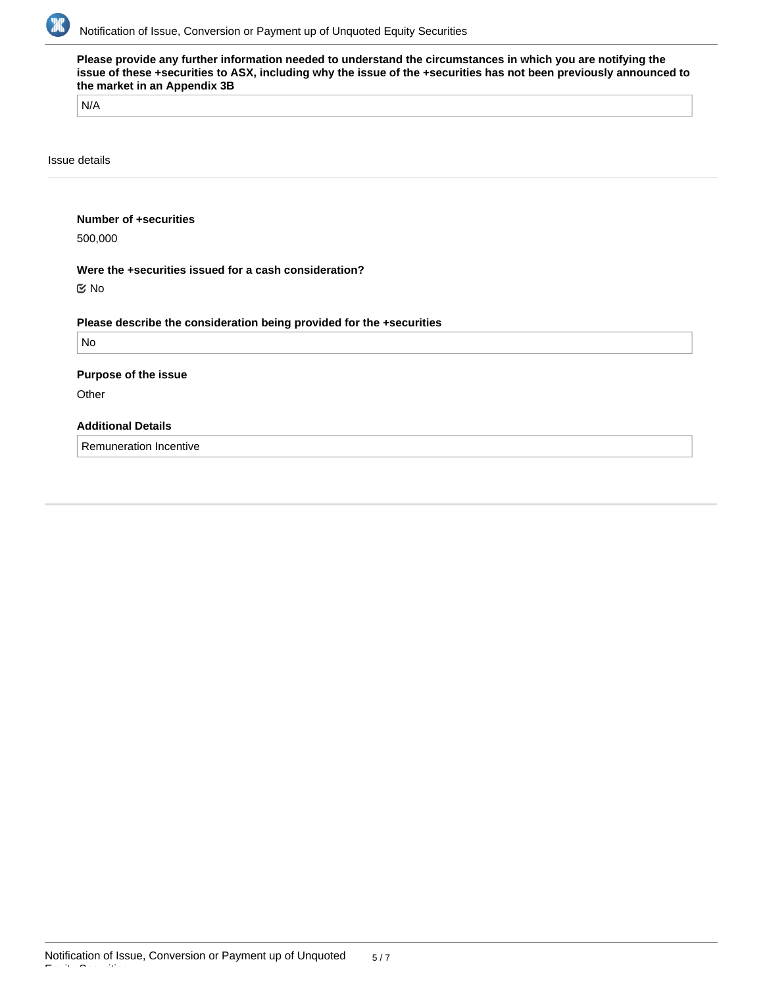

| N/A                         |                                                                      |  |
|-----------------------------|----------------------------------------------------------------------|--|
| Issue details               |                                                                      |  |
| Number of +securities       |                                                                      |  |
| 500,000                     |                                                                      |  |
|                             | Were the +securities issued for a cash consideration?                |  |
| $\mathfrak{C}$ No           |                                                                      |  |
|                             | Please describe the consideration being provided for the +securities |  |
| <b>No</b>                   |                                                                      |  |
| <b>Purpose of the issue</b> |                                                                      |  |
| Other                       |                                                                      |  |
| <b>Additional Details</b>   |                                                                      |  |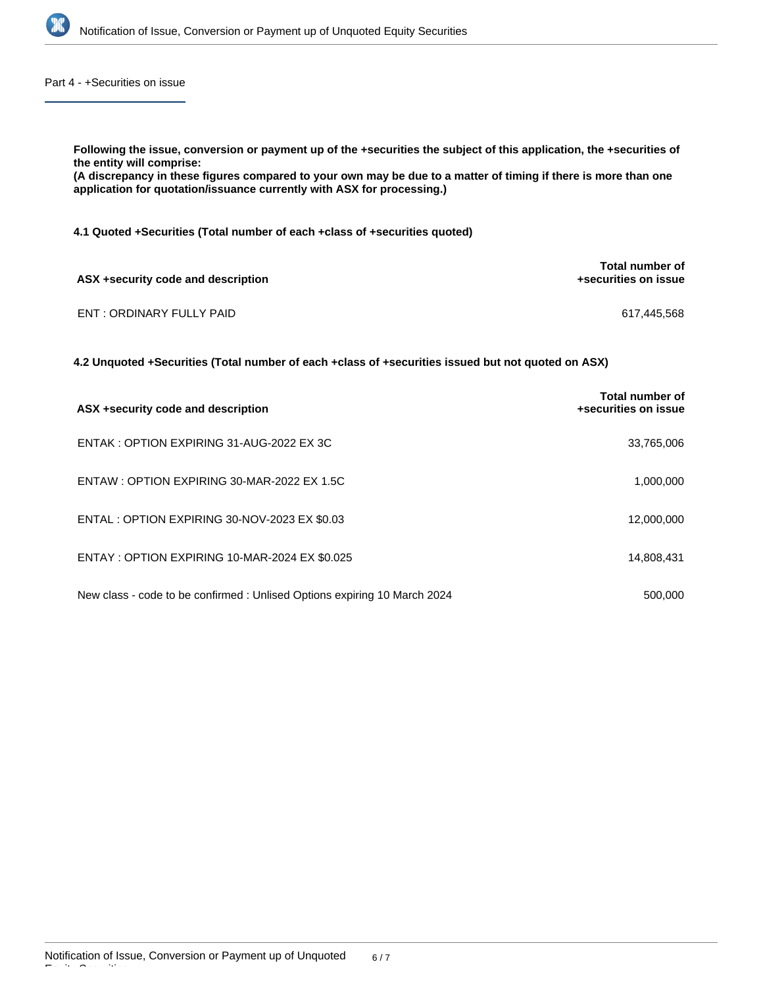

Part 4 - +Securities on issue

**Following the issue, conversion or payment up of the +securities the subject of this application, the +securities of the entity will comprise: (A discrepancy in these figures compared to your own may be due to a matter of timing if there is more than one application for quotation/issuance currently with ASX for processing.) 4.1 Quoted +Securities (Total number of each +class of +securities quoted) ASX +security code and description Total number of +securities on issue** ENT : ORDINARY FULLY PAID 617,445,568 **4.2 Unquoted +Securities (Total number of each +class of +securities issued but not quoted on ASX)**

| ASX +security code and description                                        | Total number of<br>+securities on issue |
|---------------------------------------------------------------------------|-----------------------------------------|
| ENTAK: OPTION EXPIRING 31-AUG-2022 EX 3C                                  | 33,765,006                              |
| ENTAW: OPTION EXPIRING 30-MAR-2022 EX 1.5C                                | 1,000,000                               |
| ENTAL : OPTION EXPIRING 30-NOV-2023 EX \$0.03                             | 12,000,000                              |
| ENTAY: OPTION EXPIRING 10-MAR-2024 EX \$0.025                             | 14,808,431                              |
| New class - code to be confirmed : Unlised Options expiring 10 March 2024 | 500,000                                 |

Equity Securities